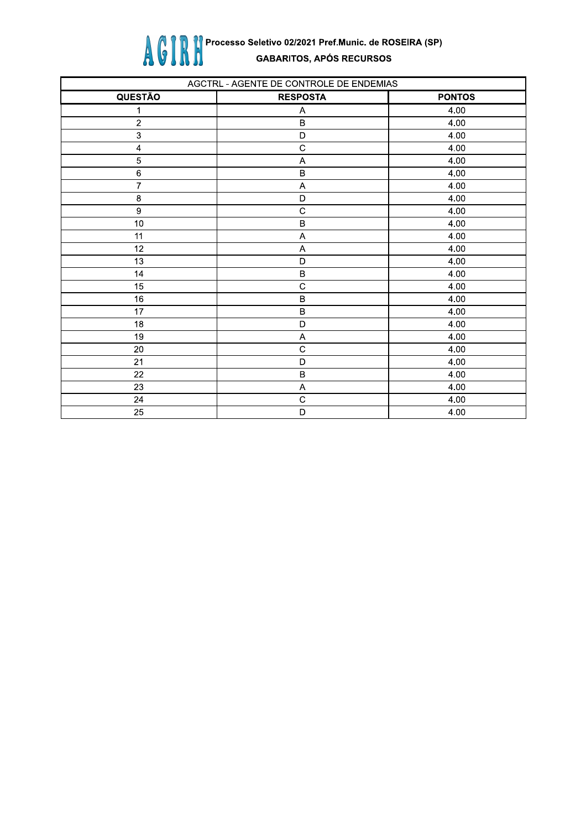

| AGCTRL - AGENTE DE CONTROLE DE ENDEMIAS |                           |               |
|-----------------------------------------|---------------------------|---------------|
| QUESTÃO                                 | <b>RESPOSTA</b>           | <b>PONTOS</b> |
| 1                                       | Α                         | 4.00          |
| $\sqrt{2}$                              | $\sf B$                   | 4.00          |
| $\ensuremath{\mathsf{3}}$               | D                         | 4.00          |
| $\overline{\mathbf{4}}$                 | $\mathsf C$               | 4.00          |
| $\sqrt{5}$                              | A                         | 4.00          |
| $\,6\,$                                 | $\sf B$                   | 4.00          |
| $\overline{7}$                          | A                         | 4.00          |
| 8                                       | D                         | 4.00          |
| $\boldsymbol{9}$                        | $\mathbf C$               | 4.00          |
| 10                                      | $\sf B$                   | 4.00          |
| 11                                      | $\boldsymbol{\mathsf{A}}$ | 4.00          |
| 12                                      | A                         | 4.00          |
| 13                                      | D                         | 4.00          |
| 14                                      | $\sf B$                   | 4.00          |
| 15                                      | $\mathsf C$               | 4.00          |
| 16                                      | $\sf B$                   | 4.00          |
| 17                                      | $\sf B$                   | 4.00          |
| 18                                      | D                         | 4.00          |
| 19                                      | $\boldsymbol{\mathsf{A}}$ | 4.00          |
| 20                                      | $\mathbf C$               | 4.00          |
| 21                                      | D                         | 4.00          |
| 22                                      | $\sf B$                   | 4.00          |
| 23                                      | A                         | 4.00          |
| 24                                      | $\mathbf C$               | 4.00          |
| 25                                      | D                         | 4.00          |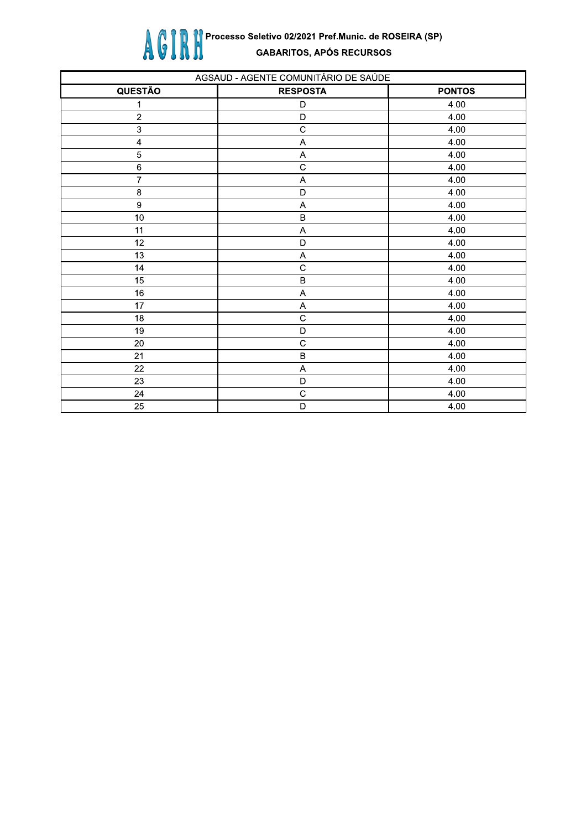

| AGSAUD - AGENTE COMUNITÁRIO DE SAÚDE |                           |               |
|--------------------------------------|---------------------------|---------------|
| <b>QUESTÃO</b>                       | <b>RESPOSTA</b>           | <b>PONTOS</b> |
| 1                                    | D                         | 4.00          |
| $\sqrt{2}$                           | D                         | 4.00          |
| $\ensuremath{\mathsf{3}}$            | $\mathbf C$               | 4.00          |
| $\overline{\mathbf{4}}$              | $\mathsf A$               | 4.00          |
| $\mathbf 5$                          | $\boldsymbol{\mathsf{A}}$ | 4.00          |
| $\,6\,$                              | $\overline{C}$            | 4.00          |
| $\overline{7}$                       | $\mathsf A$               | 4.00          |
| $\bf8$                               | D                         | 4.00          |
| $\boldsymbol{9}$                     | $\boldsymbol{\mathsf{A}}$ | 4.00          |
| $10\,$                               | $\sf B$                   | 4.00          |
| 11                                   | A                         | 4.00          |
| 12                                   | D                         | 4.00          |
| 13                                   | Α                         | 4.00          |
| 14                                   | $\mathsf{C}$              | 4.00          |
| 15                                   | $\sf B$                   | 4.00          |
| $16\,$                               | $\mathsf A$               | 4.00          |
| 17                                   | A                         | 4.00          |
| 18                                   | $\mathsf{C}$              | 4.00          |
| 19                                   | D                         | 4.00          |
| $20\,$                               | $\mathbf C$               | 4.00          |
| 21                                   | $\sf B$                   | 4.00          |
| 22                                   | A                         | 4.00          |
| 23                                   | D                         | 4.00          |
| 24                                   | $\mathsf{C}$              | 4.00          |
| 25                                   | D                         | 4.00          |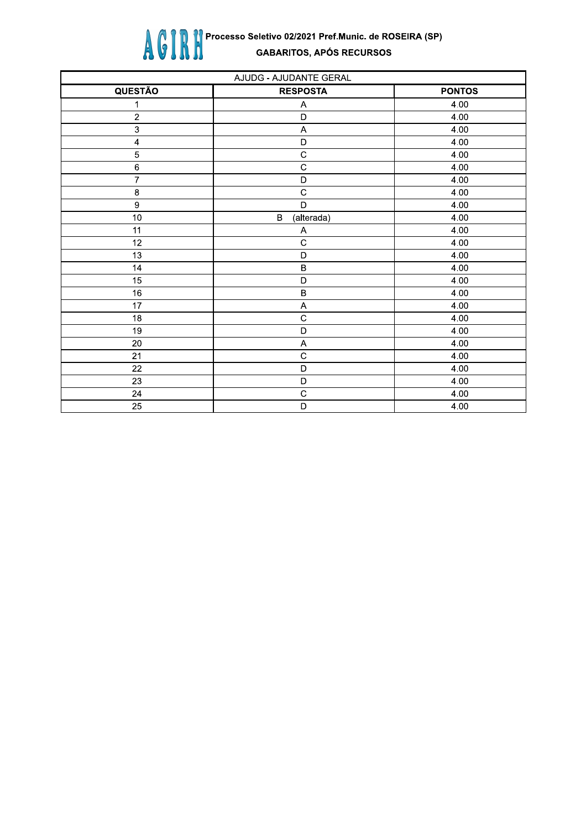

| AJUDG - AJUDANTE GERAL |                            |               |
|------------------------|----------------------------|---------------|
| <b>QUESTÃO</b>         | <b>RESPOSTA</b>            | <b>PONTOS</b> |
| 1                      | A                          | 4.00          |
| $\boldsymbol{2}$       | $\mathsf D$                | 4.00          |
| $\mathsf 3$            | $\boldsymbol{\mathsf{A}}$  | 4.00          |
| $\pmb{4}$              | $\mathsf D$                | 4.00          |
| 5                      | $\mathbf C$                | 4.00          |
| $\,6\,$                | $\mathsf{C}$               | 4.00          |
| $\overline{7}$         | $\mathsf D$                | 4.00          |
| $\bf 8$                | $\overline{C}$             | 4.00          |
| $\boldsymbol{9}$       | D                          | 4.00          |
| 10                     | $\, {\bf B}$<br>(alterada) | 4.00          |
| 11                     | A                          | 4.00          |
| 12                     | $\mathbf C$                | 4.00          |
| 13                     | $\mathsf D$                | 4.00          |
| 14                     | $\sf B$                    | 4.00          |
| 15                     | D                          | 4.00          |
| 16                     | $\sf B$                    | 4.00          |
| 17                     | A                          | 4.00          |
| 18                     | $\mathbf C$                | 4.00          |
| 19                     | D                          | 4.00          |
| 20                     | A                          | 4.00          |
| 21                     | $\overline{C}$             | 4.00          |
| 22                     | D                          | 4.00          |
| 23                     | D                          | 4.00          |
| 24                     | $\mathsf C$                | 4.00          |
| 25                     | D                          | 4.00          |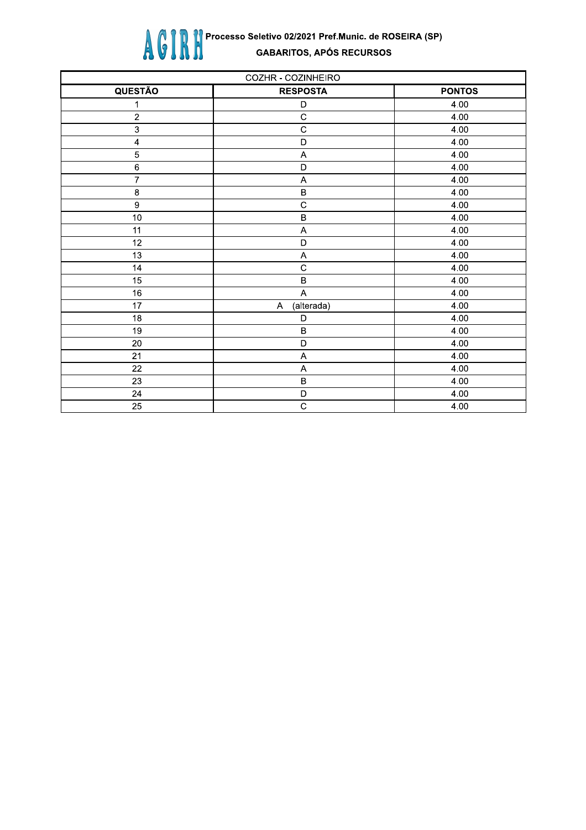

| COZHR - COZINHEIRO      |                           |               |
|-------------------------|---------------------------|---------------|
| <b>QUESTÃO</b>          | <b>RESPOSTA</b>           | <b>PONTOS</b> |
| 1                       | D                         | 4.00          |
| $\overline{c}$          | $\overline{C}$            | 4.00          |
| $\mathbf{3}$            | $\overline{c}$            | 4.00          |
| $\overline{\mathbf{4}}$ | $\mathsf{D}$              | 4.00          |
| 5                       | A                         | 4.00          |
| $\,6\,$                 | D                         | 4.00          |
| $\overline{7}$          | A                         | 4.00          |
| $\bf 8$                 | $\sf B$                   | 4.00          |
| $\overline{9}$          | $\overline{C}$            | 4.00          |
| 10                      | $\sf B$                   | 4.00          |
| 11                      | $\boldsymbol{\mathsf{A}}$ | 4.00          |
| 12                      | $\mathsf{D}$              | 4.00          |
| 13                      | $\boldsymbol{\mathsf{A}}$ | 4.00          |
| 14                      | $\mathbf C$               | 4.00          |
| 15                      | $\sf B$                   | 4.00          |
| 16                      | $\overline{\mathsf{A}}$   | 4.00          |
| 17                      | (alterada)<br>A           | 4.00          |
| 18                      | D                         | 4.00          |
| 19                      | $\sf B$                   | 4.00          |
| 20                      | $\mathsf{D}$              | 4.00          |
| 21                      | A                         | 4.00          |
| 22                      | A                         | 4.00          |
| 23                      | $\sf B$                   | 4.00          |
| 24                      | D                         | 4.00          |
| 25                      | $\mathsf C$               | 4.00          |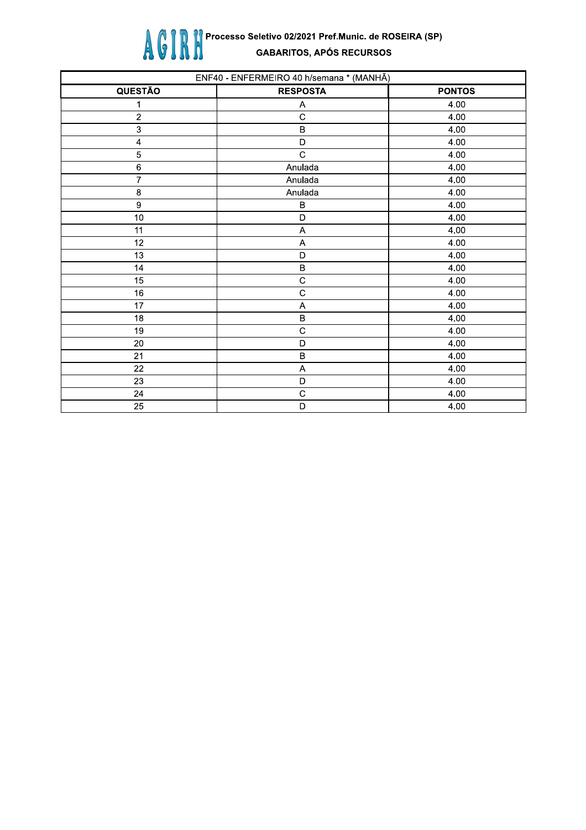

| ENF40 - ENFERMEIRO 40 h/semana * (MANHÃ) |                 |               |
|------------------------------------------|-----------------|---------------|
| <b>QUESTÃO</b>                           | <b>RESPOSTA</b> | <b>PONTOS</b> |
| 1                                        | Α               | 4.00          |
| $\sqrt{2}$                               | $\mathsf{C}$    | 4.00          |
| $\ensuremath{\mathsf{3}}$                | $\sf B$         | 4.00          |
| $\pmb{\mathcal{L}}$                      | D               | 4.00          |
| $\mathbf 5$                              | $\mathsf{C}$    | 4.00          |
| $\,6\,$                                  | Anulada         | 4.00          |
| $\overline{7}$                           | Anulada         | 4.00          |
| $\bf 8$                                  | Anulada         | 4.00          |
| $\boldsymbol{9}$                         | B               | 4.00          |
| $10$                                     | D               | 4.00          |
| 11                                       | A               | 4.00          |
| 12                                       | A               | 4.00          |
| 13                                       | D               | 4.00          |
| 14                                       | $\sf B$         | 4.00          |
| 15                                       | $\mathsf{C}$    | 4.00          |
| 16                                       | $\mathsf{C}$    | 4.00          |
| 17                                       | A               | 4.00          |
| 18                                       | $\sf B$         | 4.00          |
| 19                                       | $\mathsf C$     | 4.00          |
| 20                                       | D               | 4.00          |
| 21                                       | $\sf B$         | 4.00          |
| 22                                       | A               | 4.00          |
| 23                                       | D               | 4.00          |
| 24                                       | $\mathsf C$     | 4.00          |
| 25                                       | D               | 4.00          |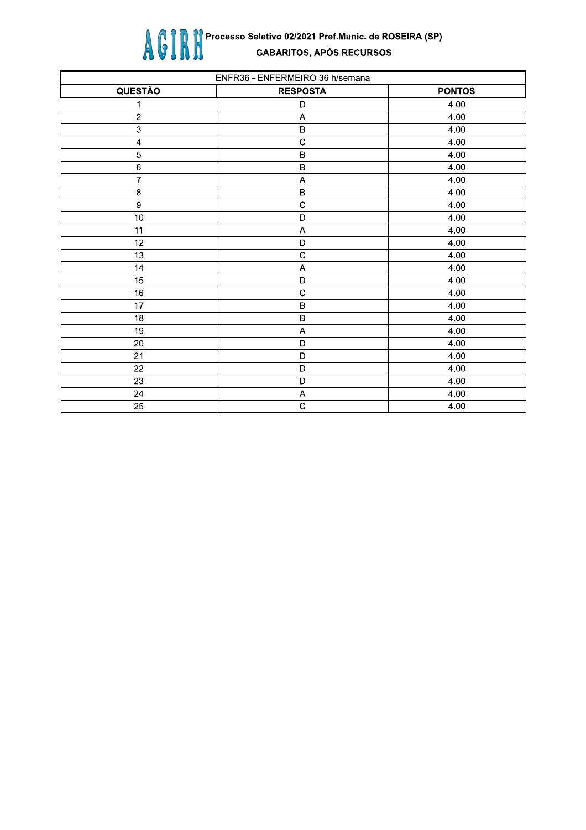

| ENFR36 - ENFERMEIRO 36 h/semana |                 |               |
|---------------------------------|-----------------|---------------|
| <b>QUESTÃO</b>                  | <b>RESPOSTA</b> | <b>PONTOS</b> |
| 1                               | D               | 4.00          |
| $\sqrt{2}$                      | A               | 4.00          |
| $\mathsf 3$                     | $\sf B$         | 4.00          |
| $\pmb{\mathcal{L}}$             | $\mathsf{C}$    | 4.00          |
| $\mathbf 5$                     | $\mathsf B$     | 4.00          |
| $\,6\,$                         | $\sf B$         | 4.00          |
| $\overline{7}$                  | A               | 4.00          |
| $\bf 8$                         | $\sf B$         | 4.00          |
| $\boldsymbol{9}$                | $\mathsf{C}$    | 4.00          |
| $10$                            | D               | 4.00          |
| 11                              | $\overline{A}$  | 4.00          |
| 12                              | D               | 4.00          |
| 13                              | $\overline{c}$  | 4.00          |
| 14                              | A               | 4.00          |
| 15                              | D               | 4.00          |
| 16                              | $\mathsf{C}$    | 4.00          |
| 17                              | $\sf B$         | 4.00          |
| 18                              | $\sf B$         | 4.00          |
| 19                              | A               | 4.00          |
| 20                              | D               | 4.00          |
| 21                              | D               | 4.00          |
| 22                              | D               | 4.00          |
| 23                              | D               | 4.00          |
| 24                              | A               | 4.00          |
| $\overline{25}$                 | $\mathsf C$     | 4.00          |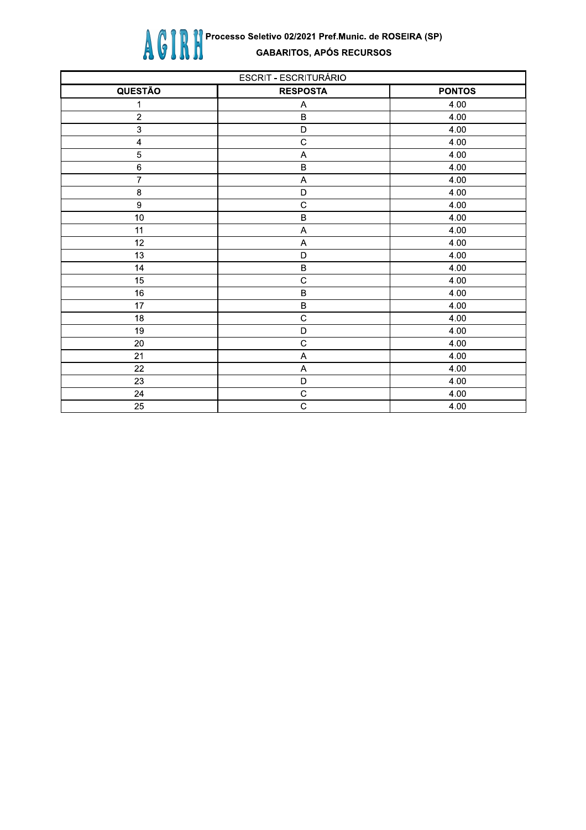

| <b>ESCRIT - ESCRITURÁRIO</b> |                           |               |
|------------------------------|---------------------------|---------------|
| <b>QUESTÃO</b>               | <b>RESPOSTA</b>           | <b>PONTOS</b> |
| 1                            | Α                         | 4.00          |
| $\overline{2}$               | $\sf B$                   | 4.00          |
| $\mathsf 3$                  | $\mathsf D$               | 4.00          |
| $\overline{\mathbf{4}}$      | $\mathsf{C}$              | 4.00          |
| 5                            | $\overline{\mathsf{A}}$   | 4.00          |
| $\overline{6}$               | $\sf B$                   | 4.00          |
| $\overline{7}$               | $\boldsymbol{\mathsf{A}}$ | 4.00          |
| $\bf8$                       | D                         | 4.00          |
| $\boldsymbol{9}$             | $\mathbf C$               | 4.00          |
| 10                           | $\sf B$                   | 4.00          |
| 11                           | $\boldsymbol{\mathsf{A}}$ | 4.00          |
| 12                           | $\boldsymbol{\mathsf{A}}$ | 4.00          |
| 13                           | $\mathsf D$               | 4.00          |
| 14                           | $\, {\bf B}$              | 4.00          |
| 15                           | $\mathsf C$               | 4.00          |
| 16                           | $\sf B$                   | 4.00          |
| 17                           | $\sf B$                   | 4.00          |
| 18                           | $\overline{c}$            | 4.00          |
| 19                           | D                         | 4.00          |
| 20                           | $\overline{c}$            | 4.00          |
| 21                           | A                         | 4.00          |
| 22                           | A                         | 4.00          |
| 23                           | $\mathsf D$               | 4.00          |
| 24                           | $\mathsf C$               | 4.00          |
| 25                           | $\mathsf C$               | 4.00          |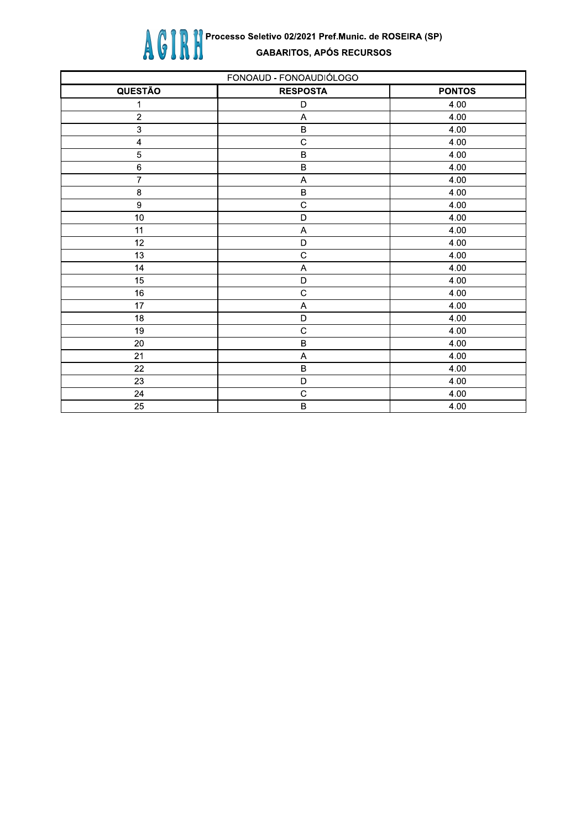

| FONOAUD - FONOAUDIÓLOGO  |                           |               |
|--------------------------|---------------------------|---------------|
| <b>QUESTÃO</b>           | <b>RESPOSTA</b>           | <b>PONTOS</b> |
| 1                        | D                         | 4.00          |
| $\sqrt{2}$               | A                         | 4.00          |
| $\mathbf{3}$             | $\sf B$                   | 4.00          |
| $\overline{\mathcal{L}}$ | $\mathbf C$               | 4.00          |
| $\overline{5}$           | $\sf B$                   | 4.00          |
| $\,6$                    | $\, {\bf B}$              | 4.00          |
| $\overline{7}$           | A                         | 4.00          |
| $\bf 8$                  | $\sf B$                   | 4.00          |
| $\boldsymbol{9}$         | $\mathbf C$               | 4.00          |
| 10                       | $\mathsf D$               | 4.00          |
| 11                       | $\boldsymbol{\mathsf{A}}$ | 4.00          |
| 12                       | $\mathsf D$               | 4.00          |
| 13                       | $\mathbf C$               | 4.00          |
| 14                       | A                         | 4.00          |
| 15                       | $\mathsf D$               | 4.00          |
| 16                       | $\mathbf C$               | 4.00          |
| 17                       | A                         | 4.00          |
| 18                       | $\mathsf D$               | 4.00          |
| 19                       | $\mathsf C$               | 4.00          |
| $20\,$                   | $\sf B$                   | 4.00          |
| 21                       | A                         | 4.00          |
| 22                       | $\sf B$                   | 4.00          |
| 23                       | D                         | 4.00          |
| 24                       | $\mathsf C$               | 4.00          |
| 25                       | $\sf B$                   | 4.00          |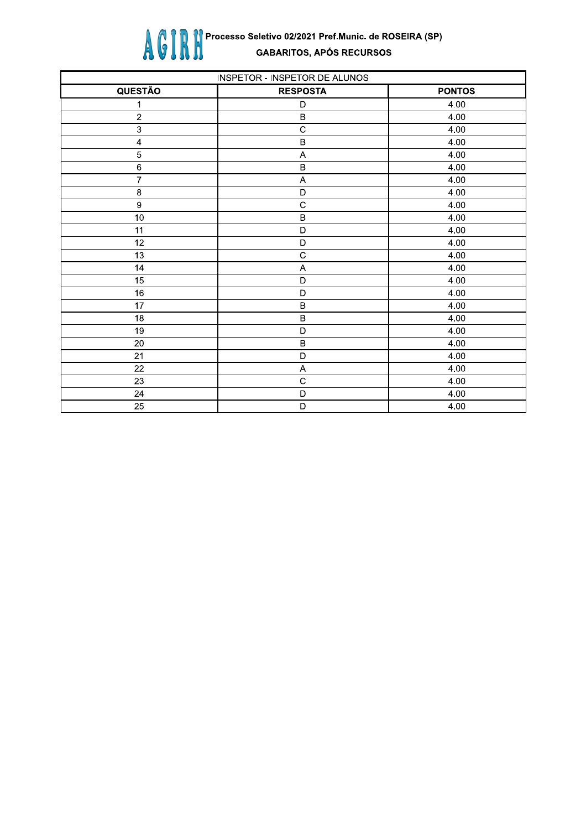

| INSPETOR - INSPETOR DE ALUNOS |                           |               |
|-------------------------------|---------------------------|---------------|
| <b>QUESTÃO</b>                | <b>RESPOSTA</b>           | <b>PONTOS</b> |
| 1                             | D                         | 4.00          |
| $\overline{c}$                | $\sf B$                   | 4.00          |
| 3                             | $\mathsf C$               | 4.00          |
| $\overline{\mathcal{L}}$      | $\sf B$                   | 4.00          |
| $\overline{5}$                | A                         | 4.00          |
| $\,6$                         | $\mathsf B$               | 4.00          |
| $\overline{7}$                | $\boldsymbol{\mathsf{A}}$ | 4.00          |
| $\boldsymbol{8}$              | D                         | 4.00          |
| $\boldsymbol{9}$              | $\mathbf C$               | 4.00          |
| 10                            | $\sf B$                   | 4.00          |
| 11                            | $\mathsf D$               | 4.00          |
| 12                            | $\mathsf D$               | 4.00          |
| 13                            | $\mathbf C$               | 4.00          |
| 14                            | A                         | 4.00          |
| 15                            | $\mathsf D$               | 4.00          |
| 16                            | D                         | 4.00          |
| 17                            | $\sf B$                   | 4.00          |
| 18                            | $\, {\bf B}$              | 4.00          |
| 19                            | D                         | 4.00          |
| 20                            | $\sf B$                   | 4.00          |
| 21                            | $\mathsf D$               | 4.00          |
| 22                            | A                         | 4.00          |
| 23                            | $\mathbf C$               | 4.00          |
| 24                            | D                         | 4.00          |
| 25                            | $\mathsf D$               | 4.00          |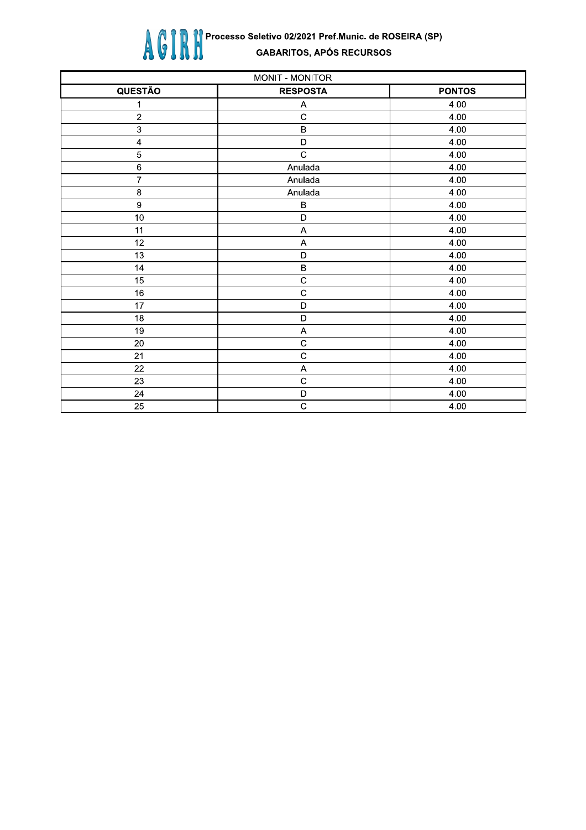

| MONIT - MONITOR         |                           |               |
|-------------------------|---------------------------|---------------|
| <b>QUESTÃO</b>          | <b>RESPOSTA</b>           | <b>PONTOS</b> |
| 1                       | Α                         | 4.00          |
| $\sqrt{2}$              | $\mathsf C$               | 4.00          |
| 3                       | $\sf B$                   | 4.00          |
| $\overline{\mathbf{4}}$ | D                         | 4.00          |
| $\overline{5}$          | $\mathbf C$               | 4.00          |
| $\,6\,$                 | Anulada                   | 4.00          |
| $\overline{7}$          | Anulada                   | 4.00          |
| $\boldsymbol{8}$        | Anulada                   | 4.00          |
| $\boldsymbol{9}$        | $\, {\bf B}$              | 4.00          |
| 10                      | $\overline{D}$            | 4.00          |
| 11                      | $\boldsymbol{\mathsf{A}}$ | 4.00          |
| 12                      | $\mathsf{A}$              | 4.00          |
| 13                      | $\mathsf D$               | 4.00          |
| 14                      | $\sf B$                   | 4.00          |
| 15                      | $\mathsf C$               | 4.00          |
| 16                      | $\mathbf C$               | 4.00          |
| 17                      | $\mathsf D$               | 4.00          |
| 18                      | $\mathsf D$               | 4.00          |
| 19                      | $\boldsymbol{\mathsf{A}}$ | 4.00          |
| 20                      | $\mathsf C$               | 4.00          |
| 21                      | $\mathbf C$               | 4.00          |
| 22                      | A                         | 4.00          |
| 23                      | $\mathbf C$               | 4.00          |
| 24                      | D                         | 4.00          |
| 25                      | $\mathsf C$               | 4.00          |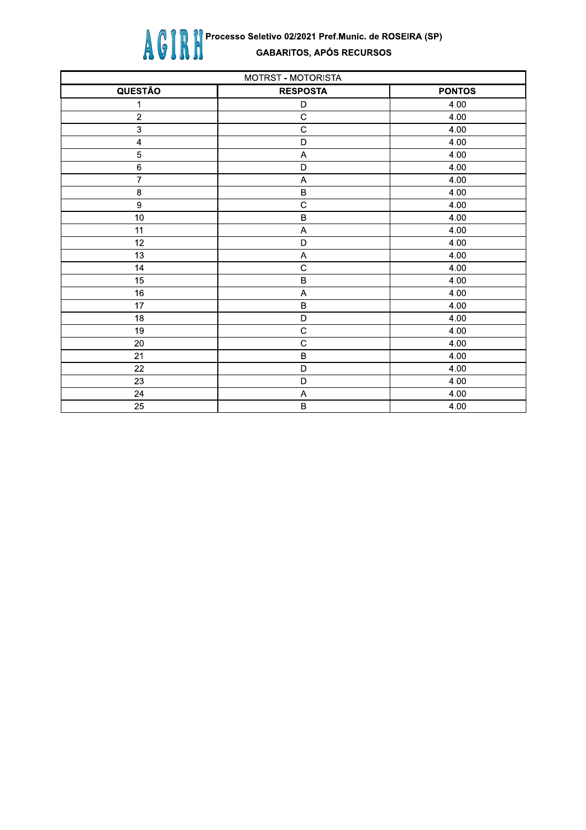

| MOTRST - MOTORISTA        |                           |               |
|---------------------------|---------------------------|---------------|
| <b>QUESTÃO</b>            | <b>RESPOSTA</b>           | <b>PONTOS</b> |
| 1                         | D                         | 4.00          |
| $\sqrt{2}$                | $\mathsf C$               | 4.00          |
| $\ensuremath{\mathsf{3}}$ | $\mathsf C$               | 4.00          |
| $\overline{\mathbf{4}}$   | D                         | 4.00          |
| $\overline{5}$            | A                         | 4.00          |
| $\,6$                     | D                         | 4.00          |
| $\overline{7}$            | $\boldsymbol{\mathsf{A}}$ | 4.00          |
| $\bf 8$                   | $\sf B$                   | 4.00          |
| $\overline{9}$            | $\mathbf C$               | 4.00          |
| 10                        | $\overline{B}$            | 4.00          |
| 11                        | $\boldsymbol{\mathsf{A}}$ | 4.00          |
| 12                        | $\mathsf D$               | 4.00          |
| 13                        | A                         | 4.00          |
| 14                        | $\overline{c}$            | 4.00          |
| 15                        | $\sf B$                   | 4.00          |
| 16                        | $\boldsymbol{\mathsf{A}}$ | 4.00          |
| 17                        | $\sf B$                   | 4.00          |
| 18                        | D                         | 4.00          |
| 19                        | $\mathsf C$               | 4.00          |
| 20                        | $\mathsf C$               | 4.00          |
| 21                        | $\sf B$                   | 4.00          |
| 22                        | D                         | 4.00          |
| 23                        | $\mathsf D$               | 4.00          |
| 24                        | A                         | 4.00          |
| 25                        | $\sf B$                   | 4.00          |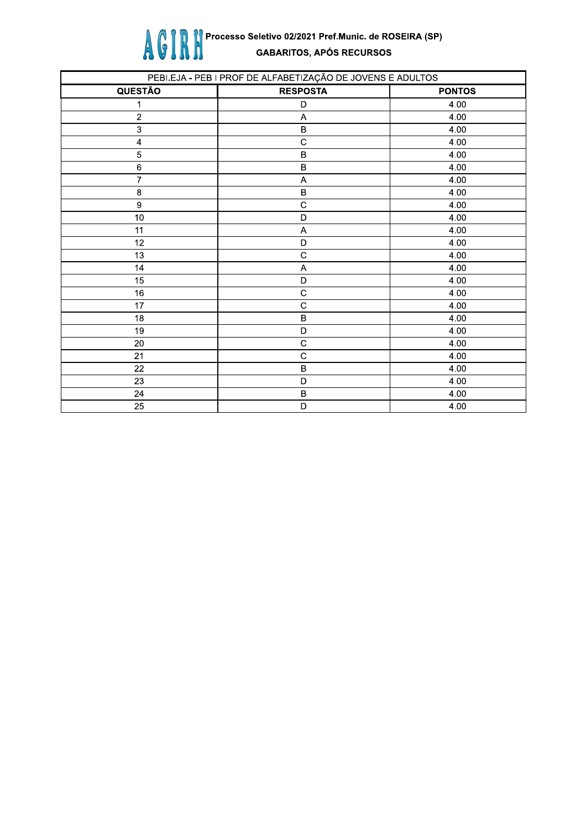

| PEBI.EJA - PEB I PROF DE ALFABETIZAÇÃO DE JOVENS E ADULTOS |                           |               |
|------------------------------------------------------------|---------------------------|---------------|
| <b>QUESTÃO</b>                                             | <b>RESPOSTA</b>           | <b>PONTOS</b> |
| 1                                                          | D                         | 4.00          |
| $\sqrt{2}$                                                 | A                         | 4.00          |
| $\ensuremath{\mathsf{3}}$                                  | $\sf B$                   | 4.00          |
| $\overline{\mathbf{4}}$                                    | $\mathsf C$               | 4.00          |
| 5                                                          | $\sf B$                   | 4.00          |
| $\,6$                                                      | B                         | 4.00          |
| 7                                                          | A                         | 4.00          |
| $\bf8$                                                     | $\sf B$                   | 4.00          |
| $\boldsymbol{9}$                                           | $\mathsf C$               | 4.00          |
| 10                                                         | $\mathsf D$               | 4.00          |
| 11                                                         | $\boldsymbol{\mathsf{A}}$ | 4.00          |
| 12                                                         | $\mathsf D$               | 4.00          |
| 13                                                         | $\mathbf C$               | 4.00          |
| 14                                                         | A                         | 4.00          |
| 15                                                         | $\mathsf D$               | 4.00          |
| 16                                                         | $\mathsf C$               | 4.00          |
| 17                                                         | $\mathsf C$               | 4.00          |
| 18                                                         | $\sf B$                   | 4.00          |
| 19                                                         | $\mathsf D$               | 4.00          |
| 20                                                         | $\mathbf C$               | 4.00          |
| 21                                                         | $\mathbf C$               | 4.00          |
| 22                                                         | $\sf B$                   | 4.00          |
| 23                                                         | D                         | 4.00          |
| 24                                                         | $\sf B$                   | 4.00          |
| 25                                                         | D                         | 4.00          |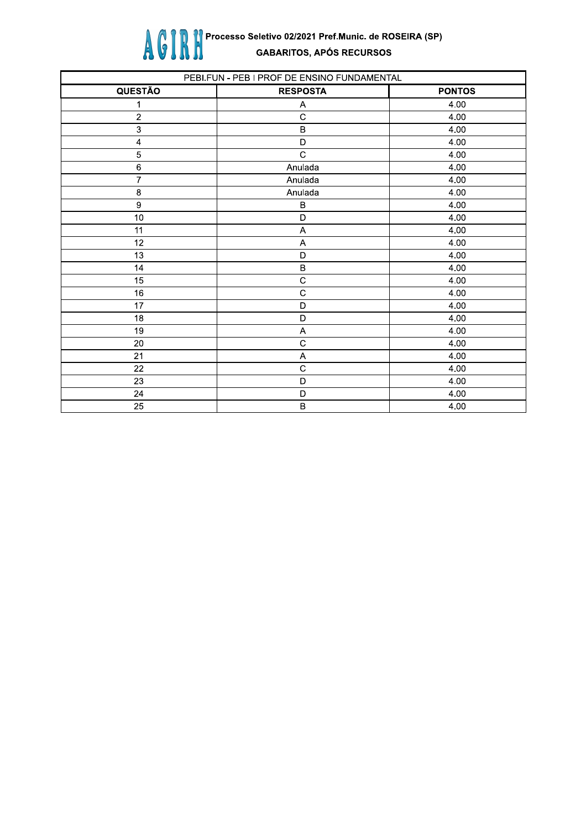

| PEBI.FUN - PEB I PROF DE ENSINO FUNDAMENTAL |                           |               |
|---------------------------------------------|---------------------------|---------------|
| QUESTÃO                                     | <b>RESPOSTA</b>           | <b>PONTOS</b> |
| 1                                           | Α                         | 4.00          |
| $\sqrt{2}$                                  | $\mathbf C$               | 4.00          |
| $\ensuremath{\mathsf{3}}$                   | $\sf B$                   | 4.00          |
| $\overline{\mathbf{4}}$                     | D                         | 4.00          |
| $\overline{5}$                              | $\mathbf C$               | 4.00          |
| $\,6\,$                                     | Anulada                   | 4.00          |
| $\overline{7}$                              | Anulada                   | 4.00          |
| $\bf8$                                      | Anulada                   | 4.00          |
| $\overline{9}$                              | B                         | 4.00          |
| 10                                          | D                         | 4.00          |
| 11                                          | A                         | 4.00          |
| 12                                          | A                         | 4.00          |
| 13                                          | D                         | 4.00          |
| 14                                          | $\sf B$                   | 4.00          |
| 15                                          | $\mathbf C$               | 4.00          |
| 16                                          | $\overline{c}$            | 4.00          |
| 17                                          | D                         | 4.00          |
| 18                                          | D                         | 4.00          |
| 19                                          | $\boldsymbol{\mathsf{A}}$ | 4.00          |
| 20                                          | $\mathsf{C}$              | 4.00          |
| 21                                          | A                         | 4.00          |
| 22                                          | $\mathbf C$               | 4.00          |
| 23                                          | D                         | 4.00          |
| 24                                          | D                         | 4.00          |
| 25                                          | $\sf B$                   | 4.00          |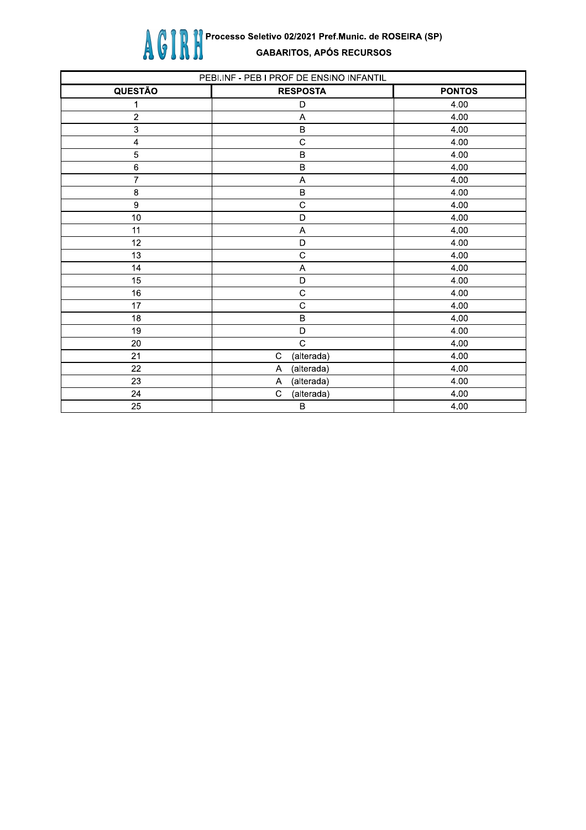

| PEBI.INF - PEB I PROF DE ENSINO INFANTIL |                           |               |
|------------------------------------------|---------------------------|---------------|
| <b>QUESTÃO</b>                           | <b>RESPOSTA</b>           | <b>PONTOS</b> |
| 1                                        | D                         | 4.00          |
| $\overline{c}$                           | A                         | 4.00          |
| 3                                        | $\sf B$                   | 4.00          |
| $\overline{\mathbf{A}}$                  | $\mathsf{C}$              | 4.00          |
| 5                                        | $\sf B$                   | 4.00          |
| $\,6\,$                                  | B                         | 4.00          |
| $\overline{7}$                           | A                         | 4.00          |
| $\bf 8$                                  | $\sf B$                   | 4.00          |
| $\boldsymbol{9}$                         | $\overline{C}$            | 4.00          |
| $10$                                     | D                         | 4.00          |
| 11                                       | A                         | 4.00          |
| 12                                       | D                         | 4.00          |
| 13                                       | $\mathsf{C}$              | 4.00          |
| 14                                       | A                         | 4.00          |
| 15                                       | D                         | 4.00          |
| 16                                       | $\mathsf{C}$              | 4.00          |
| 17                                       | $\overline{C}$            | 4.00          |
| 18                                       | $\sf B$                   | 4.00          |
| 19                                       | D                         | 4.00          |
| 20                                       | $\overline{c}$            | 4.00          |
| 21                                       | $\mathbf C$<br>(alterada) | 4.00          |
| 22                                       | (alterada)<br>Α           | 4.00          |
| 23                                       | (alterada)<br>A           | 4.00          |
| 24                                       | (alterada)<br>C           | 4.00          |
| 25                                       | $\sf B$                   | 4.00          |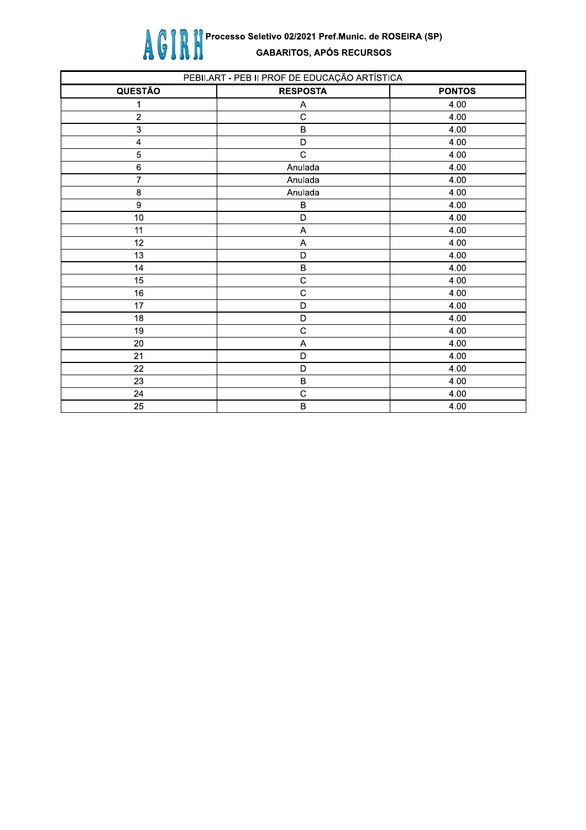

| PEBII.ART - PEB II PROF DE EDUCAÇÃO ARTÍSTICA |                 |               |
|-----------------------------------------------|-----------------|---------------|
| <b>QUESTÃO</b>                                | <b>RESPOSTA</b> | <b>PONTOS</b> |
| 1                                             | Α               | 4.00          |
| $\sqrt{2}$                                    | $\mathbf C$     | 4.00          |
| $\ensuremath{\mathsf{3}}$                     | $\, {\bf B}$    | 4.00          |
| 4                                             | D               | 4.00          |
| $\mathbf 5$                                   | $\overline{c}$  | 4.00          |
| $\,6\,$                                       | Anulada         | 4.00          |
| $\overline{7}$                                | Anulada         | 4.00          |
| $\bf8$                                        | Anulada         | 4.00          |
| $\boldsymbol{9}$                              | B               | 4.00          |
| $10\,$                                        | $\mathsf D$     | 4.00          |
| 11                                            | A               | 4.00          |
| 12                                            | A               | 4.00          |
| 13                                            | $\mathsf D$     | 4.00          |
| 14                                            | $\sf B$         | 4.00          |
| 15                                            | $\mathsf C$     | 4.00          |
| 16                                            | $\mathbf C$     | 4.00          |
| 17                                            | $\mathsf D$     | 4.00          |
| 18                                            | $\mathsf D$     | 4.00          |
| 19                                            | $\mathbf C$     | 4.00          |
| 20                                            | A               | 4.00          |
| 21                                            | D               | 4.00          |
| 22                                            | $\mathsf D$     | 4.00          |
| 23                                            | $\sf B$         | 4.00          |
| 24                                            | $\mathbf C$     | 4.00          |
| 25                                            | $\sf B$         | 4.00          |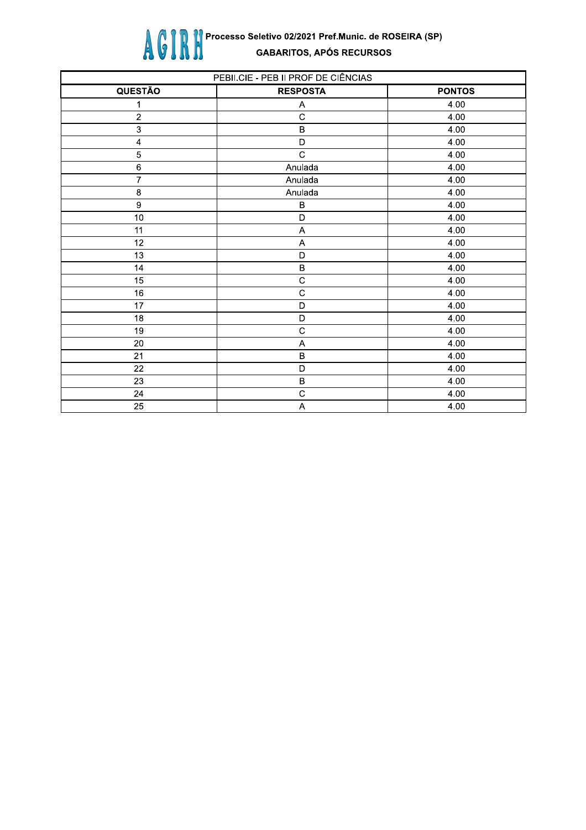

| PEBII.CIE - PEB II PROF DE CIÊNCIAS |                 |               |
|-------------------------------------|-----------------|---------------|
| <b>QUESTÃO</b>                      | <b>RESPOSTA</b> | <b>PONTOS</b> |
| 1                                   | Α               | 4.00          |
| $\sqrt{2}$                          | $\mathbf C$     | 4.00          |
| $\mathsf 3$                         | $\sf B$         | 4.00          |
| $\pmb{\mathcal{L}}$                 | D               | 4.00          |
| $\overline{5}$                      | $\mathsf{C}$    | 4.00          |
| $\,6\,$                             | Anulada         | 4.00          |
| $\overline{7}$                      | Anulada         | 4.00          |
| $\bf 8$                             | Anulada         | 4.00          |
| $\boldsymbol{9}$                    | $\, {\bf B}$    | 4.00          |
| 10                                  | D               | 4.00          |
| 11                                  | A               | 4.00          |
| 12                                  | A               | 4.00          |
| 13                                  | D               | 4.00          |
| 14                                  | $\sf B$         | 4.00          |
| 15                                  | $\mathsf C$     | 4.00          |
| 16                                  | $\mathbf C$     | 4.00          |
| 17                                  | D               | 4.00          |
| 18                                  | D               | 4.00          |
| 19                                  | $\mathsf C$     | 4.00          |
| 20                                  | A               | 4.00          |
| 21                                  | $\sf B$         | 4.00          |
| 22                                  | D               | 4.00          |
| 23                                  | $\sf B$         | 4.00          |
| 24                                  | $\mathsf C$     | 4.00          |
| 25                                  | A               | 4.00          |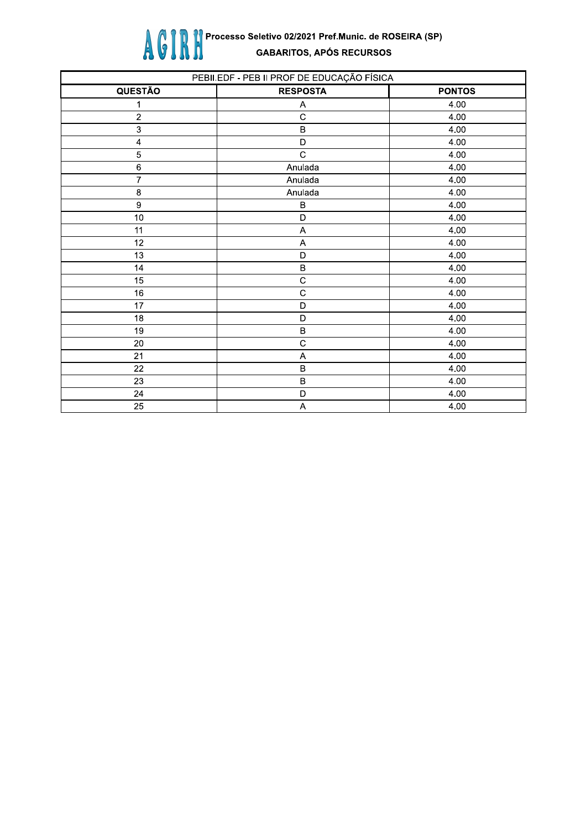

| PEBII.EDF - PEB II PROF DE EDUCAÇÃO FÍSICA |                 |               |
|--------------------------------------------|-----------------|---------------|
| <b>QUESTÃO</b>                             | <b>RESPOSTA</b> | <b>PONTOS</b> |
| 1                                          | Α               | 4.00          |
| $\boldsymbol{2}$                           | $\mathbf C$     | 4.00          |
| $\ensuremath{\mathsf{3}}$                  | $\sf B$         | 4.00          |
| 4                                          | D               | 4.00          |
| $\overline{5}$                             | $\mathbf C$     | 4.00          |
| $\,6$                                      | Anulada         | 4.00          |
| $\overline{7}$                             | Anulada         | 4.00          |
| $\bf8$                                     | Anulada         | 4.00          |
| $\boldsymbol{9}$                           | B               | 4.00          |
| $10\,$                                     | D               | 4.00          |
| 11                                         | A               | 4.00          |
| 12                                         | A               | 4.00          |
| 13                                         | D               | 4.00          |
| 14                                         | $\sf B$         | 4.00          |
| 15                                         | $\mathsf{C}$    | 4.00          |
| 16                                         | $\mathbf C$     | 4.00          |
| 17                                         | D               | 4.00          |
| 18                                         | D               | 4.00          |
| 19                                         | $\sf B$         | 4.00          |
| 20                                         | $\mathsf{C}$    | 4.00          |
| 21                                         | A               | 4.00          |
| 22                                         | $\sf B$         | 4.00          |
| 23                                         | $\sf B$         | 4.00          |
| 24                                         | $\mathsf D$     | 4.00          |
| 25                                         | A               | 4.00          |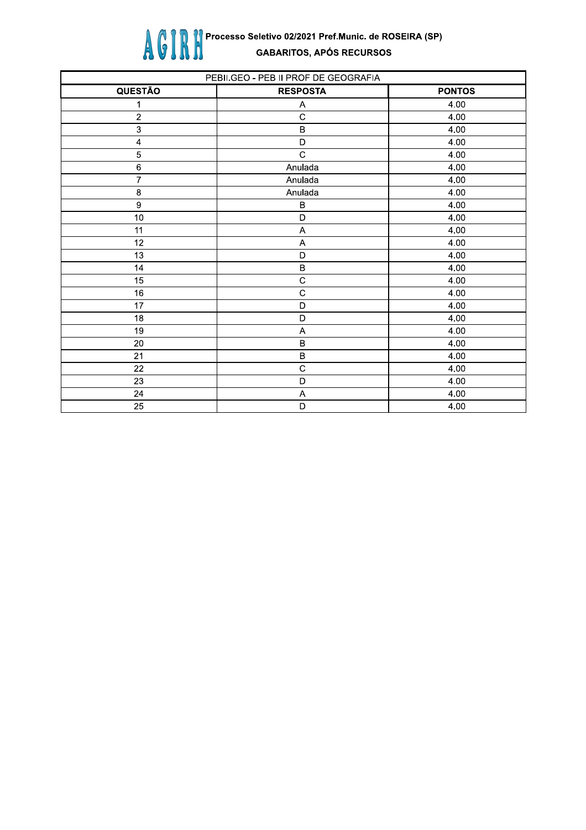

| PEBII.GEO - PEB II PROF DE GEOGRAFIA |                 |               |
|--------------------------------------|-----------------|---------------|
| <b>QUESTÃO</b>                       | <b>RESPOSTA</b> | <b>PONTOS</b> |
| 1                                    | Α               | 4.00          |
| $\sqrt{2}$                           | $\mathsf{C}$    | 4.00          |
| $\mathsf 3$                          | $\sf B$         | 4.00          |
| $\pmb{\mathcal{L}}$                  | D               | 4.00          |
| $\overline{5}$                       | $\mathsf{C}$    | 4.00          |
| $\,6\,$                              | Anulada         | 4.00          |
| $\boldsymbol{7}$                     | Anulada         | 4.00          |
| $\bf 8$                              | Anulada         | 4.00          |
| $\boldsymbol{9}$                     | В               | 4.00          |
| 10                                   | D               | 4.00          |
| 11                                   | $\overline{A}$  | 4.00          |
| 12                                   | A               | 4.00          |
| 13                                   | D               | 4.00          |
| 14                                   | $\sf B$         | 4.00          |
| 15                                   | $\mathsf C$     | 4.00          |
| 16                                   | $\mathsf{C}$    | 4.00          |
| 17                                   | D               | 4.00          |
| 18                                   | $\mathsf{D}$    | 4.00          |
| 19                                   | A               | 4.00          |
| 20                                   | $\sf B$         | 4.00          |
| 21                                   | $\sf B$         | 4.00          |
| 22                                   | $\mathsf{C}$    | 4.00          |
| 23                                   | D               | 4.00          |
| 24                                   | A               | 4.00          |
| 25                                   | D               | 4.00          |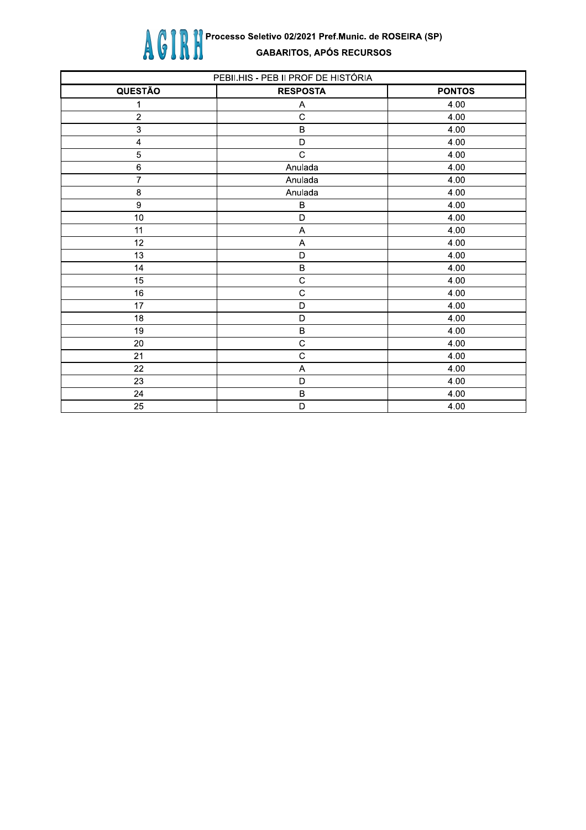

| PEBII.HIS - PEB II PROF DE HISTÓRIA |                 |               |
|-------------------------------------|-----------------|---------------|
| QUESTÃO                             | <b>RESPOSTA</b> | <b>PONTOS</b> |
| 1                                   | Α               | 4.00          |
| $\sqrt{2}$                          | $\mathsf C$     | 4.00          |
| $\sqrt{3}$                          | $\sf B$         | 4.00          |
| $\overline{\mathcal{L}}$            | D               | 4.00          |
| $\overline{5}$                      | $\mathbf C$     | 4.00          |
| $\,6\,$                             | Anulada         | 4.00          |
| $\overline{7}$                      | Anulada         | 4.00          |
| $\bf 8$                             | Anulada         | 4.00          |
| $\boldsymbol{9}$                    | B               | 4.00          |
| 10                                  | D               | 4.00          |
| 11                                  | $\overline{A}$  | 4.00          |
| 12                                  | A               | 4.00          |
| 13                                  | D               | 4.00          |
| 14                                  | $\sf B$         | 4.00          |
| 15                                  | $\mathsf C$     | 4.00          |
| 16                                  | $\mathsf C$     | 4.00          |
| 17                                  | D               | 4.00          |
| 18                                  | D               | 4.00          |
| 19                                  | $\sf B$         | 4.00          |
| 20                                  | $\mathsf C$     | 4.00          |
| 21                                  | $\mathsf C$     | 4.00          |
| 22                                  | A               | 4.00          |
| 23                                  | D               | 4.00          |
| 24                                  | $\sf B$         | 4.00          |
| 25                                  | D               | 4.00          |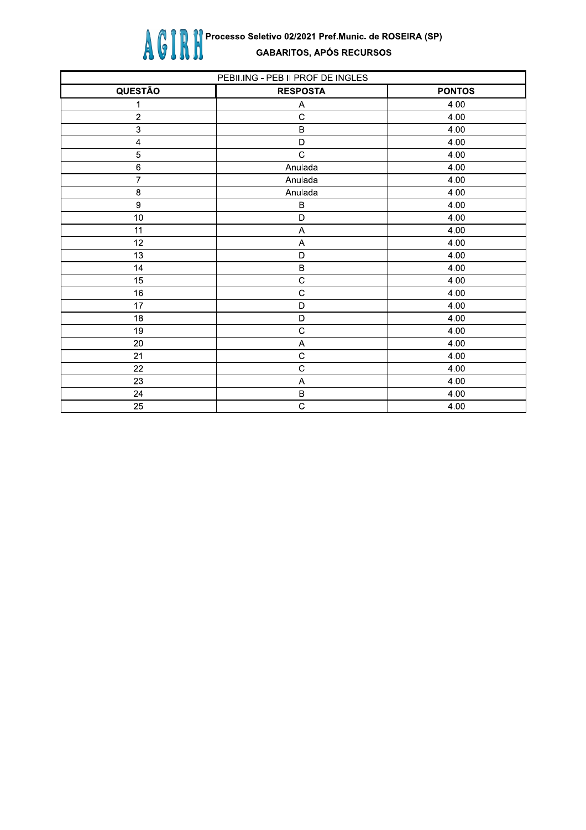

| PEBII.ING - PEB II PROF DE INGLES |                 |               |
|-----------------------------------|-----------------|---------------|
| QUESTÃO                           | <b>RESPOSTA</b> | <b>PONTOS</b> |
| 1                                 | Α               | 4.00          |
| $\overline{c}$                    | $\mathsf C$     | 4.00          |
| $\mathbf{3}$                      | $\sf B$         | 4.00          |
| $\overline{\mathbf{4}}$           | $\mathsf D$     | 4.00          |
| 5                                 | $\mathbf C$     | 4.00          |
| $\overline{6}$                    | Anulada         | 4.00          |
| $\overline{7}$                    | Anulada         | 4.00          |
| 8                                 | Anulada         | 4.00          |
| $\overline{9}$                    | $\sf B$         | 4.00          |
| 10                                | D               | 4.00          |
| 11                                | A               | 4.00          |
| 12                                | A               | 4.00          |
| 13                                | D               | 4.00          |
| 14                                | $\sf B$         | 4.00          |
| 15                                | $\mathsf C$     | 4.00          |
| 16                                | $\mathbf C$     | 4.00          |
| 17                                | D               | 4.00          |
| 18                                | D               | 4.00          |
| 19                                | $\mathsf C$     | 4.00          |
| 20                                | A               | 4.00          |
| 21                                | $\mathbf C$     | 4.00          |
| 22                                | $\mathsf C$     | 4.00          |
| 23                                | A               | 4.00          |
| 24                                | $\sf B$         | 4.00          |
| 25                                | $\mathsf C$     | 4.00          |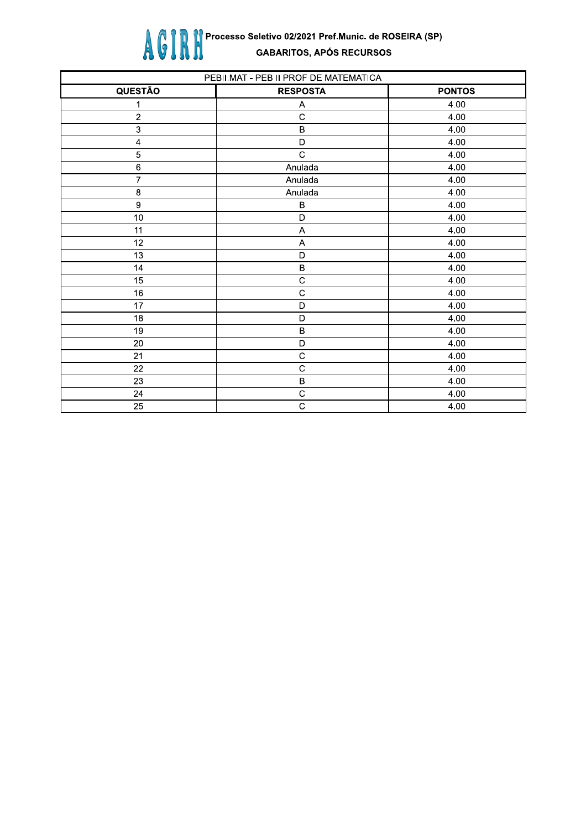

| PEBII.MAT - PEB II PROF DE MATEMATICA |                 |               |
|---------------------------------------|-----------------|---------------|
| QUESTÃO                               | <b>RESPOSTA</b> | <b>PONTOS</b> |
| 1                                     | Α               | 4.00          |
| $\overline{c}$                        | $\mathbf C$     | 4.00          |
| 3                                     | $\sf B$         | 4.00          |
| $\overline{\mathbf{A}}$               | D               | 4.00          |
| $\overline{5}$                        | $\mathsf{C}$    | 4.00          |
| $\,6\,$                               | Anulada         | 4.00          |
| $\overline{7}$                        | Anulada         | 4.00          |
| 8                                     | Anulada         | 4.00          |
| 9                                     | $\, {\bf B}$    | 4.00          |
| 10                                    | $\mathsf D$     | 4.00          |
| 11                                    | $\mathsf A$     | 4.00          |
| 12                                    | A               | 4.00          |
| 13                                    | D               | 4.00          |
| 14                                    | $\sf B$         | 4.00          |
| 15                                    | $\mathsf C$     | 4.00          |
| 16                                    | $\mathsf C$     | 4.00          |
| 17                                    | D               | 4.00          |
| 18                                    | D               | 4.00          |
| 19                                    | $\sf B$         | 4.00          |
| 20                                    | D               | 4.00          |
| 21                                    | $\mathsf C$     | 4.00          |
| 22                                    | $\mathbf C$     | 4.00          |
| 23                                    | $\sf B$         | 4.00          |
| 24                                    | $\mathsf C$     | 4.00          |
| 25                                    | $\mathsf C$     | 4.00          |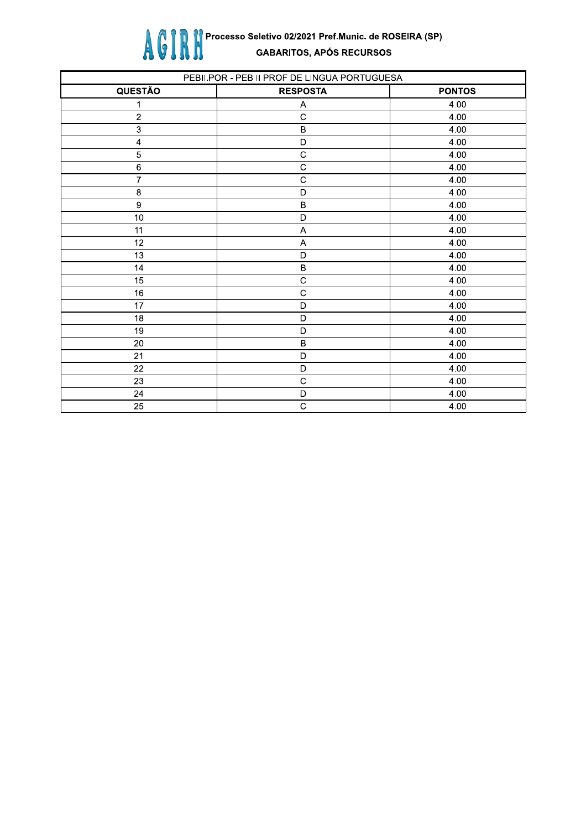

| PEBII.POR - PEB II PROF DE LINGUA PORTUGUESA |                           |               |
|----------------------------------------------|---------------------------|---------------|
| QUESTÃO                                      | <b>RESPOSTA</b>           | <b>PONTOS</b> |
| 1                                            | Α                         | 4.00          |
| $\sqrt{2}$                                   | $\mathbf C$               | 4.00          |
| $\ensuremath{\mathsf{3}}$                    | $\, {\bf B}$              | 4.00          |
| 4                                            | D                         | 4.00          |
| $\overline{5}$                               | $\mathsf{C}$              | 4.00          |
| $\,6\,$                                      | $\mathsf{C}$              | 4.00          |
| $\overline{7}$                               | $\overline{C}$            | 4.00          |
| $\bf8$                                       | $\mathsf D$               | 4.00          |
| $\boldsymbol{9}$                             | $\sf B$                   | 4.00          |
| $10\,$                                       | $\mathsf D$               | 4.00          |
| 11                                           | $\mathsf A$               | 4.00          |
| 12                                           | $\boldsymbol{\mathsf{A}}$ | 4.00          |
| 13                                           | $\mathsf D$               | 4.00          |
| 14                                           | $\, {\bf B}$              | 4.00          |
| 15                                           | $\mathsf C$               | 4.00          |
| 16                                           | $\mathsf C$               | 4.00          |
| 17                                           | $\mathsf D$               | 4.00          |
| 18                                           | $\mathsf D$               | 4.00          |
| 19                                           | D                         | 4.00          |
| 20                                           | $\sf B$                   | 4.00          |
| 21                                           | D                         | 4.00          |
| 22                                           | $\mathsf D$               | 4.00          |
| 23                                           | $\mathbf C$               | 4.00          |
| 24                                           | $\mathsf D$               | 4.00          |
| 25                                           | $\mathbf C$               | 4.00          |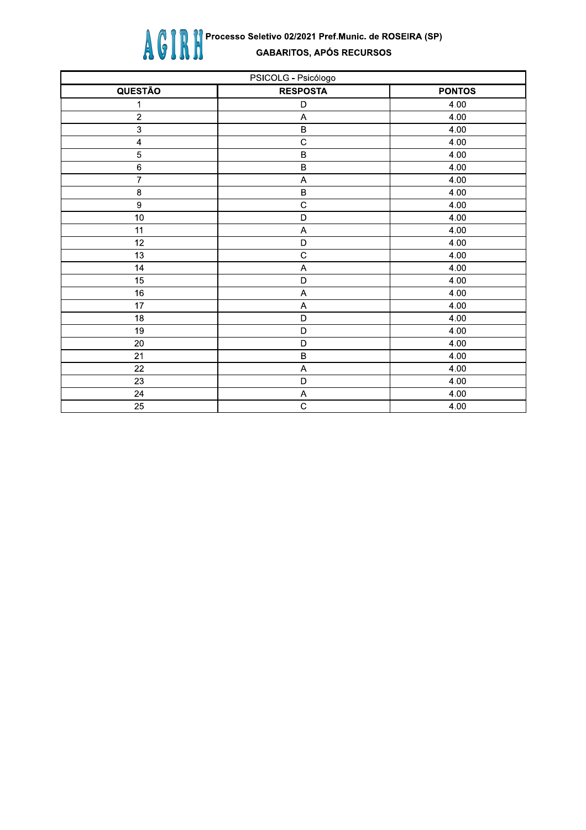

| PSICOLG - Psicólogo     |                           |               |
|-------------------------|---------------------------|---------------|
| <b>QUESTÃO</b>          | <b>RESPOSTA</b>           | <b>PONTOS</b> |
| 1                       | D                         | 4.00          |
| $\sqrt{2}$              | $\boldsymbol{\mathsf{A}}$ | 4.00          |
| $\mathsf 3$             | $\sf B$                   | 4.00          |
| $\overline{\mathbf{A}}$ | $\mathsf{C}$              | 4.00          |
| 5                       | $\sf B$                   | 4.00          |
| $\,6$                   | $\sf B$                   | 4.00          |
| $\overline{7}$          | $\boldsymbol{\mathsf{A}}$ | 4.00          |
| $\bf 8$                 | $\sf B$                   | 4.00          |
| $\boldsymbol{9}$        | $\overline{C}$            | 4.00          |
| 10                      | $\mathsf D$               | 4.00          |
| 11                      | $\boldsymbol{\mathsf{A}}$ | 4.00          |
| 12                      | $\mathsf D$               | 4.00          |
| 13                      | $\overline{c}$            | 4.00          |
| 14                      | A                         | 4.00          |
| 15                      | $\mathsf D$               | 4.00          |
| $\overline{16}$         | A                         | 4.00          |
| 17                      | A                         | 4.00          |
| 18                      | $\mathsf D$               | 4.00          |
| 19                      | $\mathsf D$               | 4.00          |
| $20\,$                  | $\mathsf D$               | 4.00          |
| 21                      | $\sf B$                   | 4.00          |
| 22                      | $\boldsymbol{\mathsf{A}}$ | 4.00          |
| 23                      | $\mathsf D$               | 4.00          |
| 24                      | A                         | 4.00          |
| $\overline{25}$         | $\overline{C}$            | 4.00          |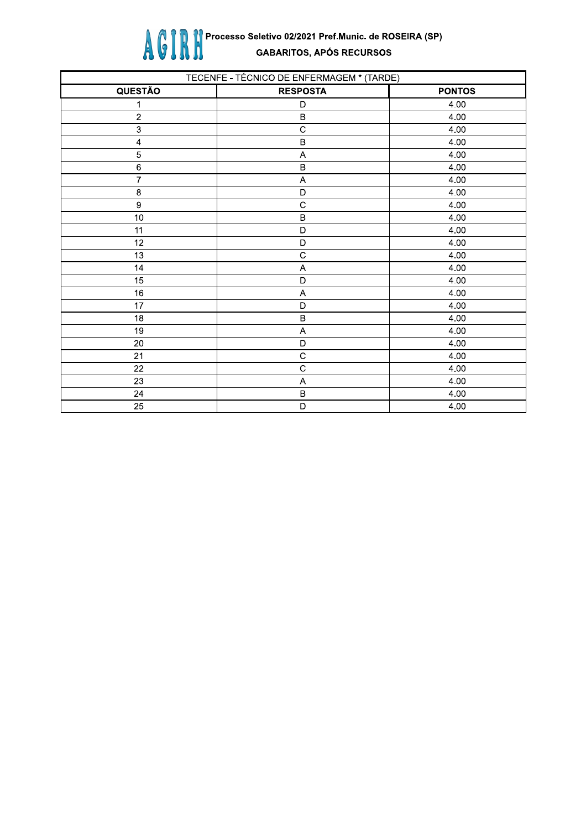

| TECENFE - TÉCNICO DE ENFERMAGEM * (TARDE) |                 |               |
|-------------------------------------------|-----------------|---------------|
| <b>QUESTÃO</b>                            | <b>RESPOSTA</b> | <b>PONTOS</b> |
| 1                                         | D               | 4.00          |
| $\boldsymbol{2}$                          | $\sf B$         | 4.00          |
| $\ensuremath{\mathsf{3}}$                 | $\mathbf C$     | 4.00          |
| 4                                         | $\sf B$         | 4.00          |
| $\mathbf 5$                               | A               | 4.00          |
| $\,6\,$                                   | $\sf B$         | 4.00          |
| $\overline{7}$                            | A               | 4.00          |
| $\bf8$                                    | D               | 4.00          |
| $\boldsymbol{9}$                          | $\mathbf C$     | 4.00          |
| $10\,$                                    | $\sf B$         | 4.00          |
| 11                                        | D               | 4.00          |
| 12                                        | D               | 4.00          |
| 13                                        | $\mathbf C$     | 4.00          |
| 14                                        | Α               | 4.00          |
| 15                                        | D               | 4.00          |
| 16                                        | A               | 4.00          |
| 17                                        | D               | 4.00          |
| 18                                        | $\sf B$         | 4.00          |
| 19                                        | A               | 4.00          |
| 20                                        | D               | 4.00          |
| 21                                        | $\mathbf C$     | 4.00          |
| 22                                        | $\mathbf C$     | 4.00          |
| 23                                        | A               | 4.00          |
| 24                                        | $\sf B$         | 4.00          |
| 25                                        | D               | 4.00          |